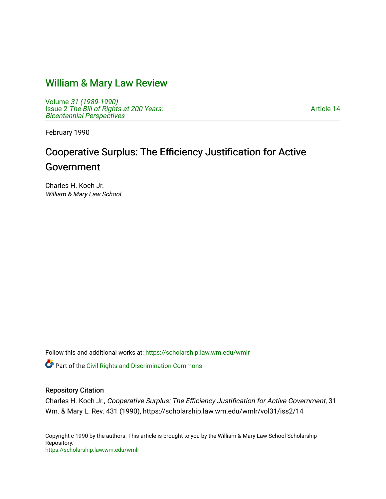## [William & Mary Law Review](https://scholarship.law.wm.edu/wmlr)

Volume [31 \(1989-1990\)](https://scholarship.law.wm.edu/wmlr/vol31)  Issue 2 The Bill of Rights at 200 Years: [Bicentennial Perspectives](https://scholarship.law.wm.edu/wmlr/vol31/iss2) 

[Article 14](https://scholarship.law.wm.edu/wmlr/vol31/iss2/14) 

February 1990

# Cooperative Surplus: The Efficiency Justification for Active Government

Charles H. Koch Jr. William & Mary Law School

Follow this and additional works at: [https://scholarship.law.wm.edu/wmlr](https://scholarship.law.wm.edu/wmlr?utm_source=scholarship.law.wm.edu%2Fwmlr%2Fvol31%2Fiss2%2F14&utm_medium=PDF&utm_campaign=PDFCoverPages)

**Part of the Civil Rights and Discrimination Commons** 

#### Repository Citation

Charles H. Koch Jr., Cooperative Surplus: The Efficiency Justification for Active Government, 31 Wm. & Mary L. Rev. 431 (1990), https://scholarship.law.wm.edu/wmlr/vol31/iss2/14

Copyright c 1990 by the authors. This article is brought to you by the William & Mary Law School Scholarship Repository. <https://scholarship.law.wm.edu/wmlr>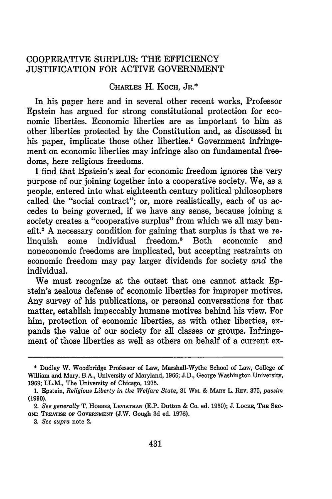### COOPERATIVE SURPLUS: THE EFFICIENCY JUSTIFICATION FOR ACTIVE GOVERNMENT

#### CHARLES H. KOCH, JR.\*

In his paper here and in several other recent works, Professor Epstein has argued for strong constitutional protection for economic liberties. Economic liberties are as important to him as other liberties protected by the Constitution and, as discussed in his paper, implicate those other liberties.<sup>1</sup> Government infringement on economic liberties may infringe also on fundamental freedoms, here religious freedoms.

I find that Epstein's zeal for economic freedom ignores the very purpose of our joining together into a cooperative society. We, as a people, entered into what eighteenth century political philosophers called the "social contract"; or, more realistically, each of us accedes to being governed, if we have any sense, because joining a society creates a "cooperative surplus" from which we all may benefit.2 A necessary condition for gaining that surplus is that we relinquish some individual freedom.<sup>3</sup> Both economic and noneconomic freedoms are implicated, but accepting restraints on economic freedom may pay larger dividends for society *and* the individual.

We must recognize at the outset that one cannot attack Epstein's zealous defense of economic liberties for improper motives. Any survey of his publications, or personal conversations for that matter, establish impeccably humane motives behind his view. For him, protection of economic liberties, as with other liberties, expands the value of our society for all classes or groups. Infringement of those liberties as well as others on behalf of a current ex-

<sup>\*</sup> Dudley W. Woodbridge Professor of Law, Marshall-Wythe School of Law, College of William and Mary. B.A., University of Maryland, 1966; J.D., George Washington University, 1969; LL.M., The University of Chicago, 1975.

<sup>1.</sup> Epstein, *Religious Liberty in the Welfare State,* **31** WM. & **MARY** L. REV. 375, *passim* **(1990).**

<sup>2.</sup> *See generally* T. **HOBBES, LEVIATHAN** (E.P. Dutton **&** Co. ed. 1950); **J.** LOCKE, **THE** SEC-**OND** TREATISE OF **GOVERNMENT (J.W.** Gough **3d** ed. **1976).**

*<sup>3.</sup> See supra* note 2.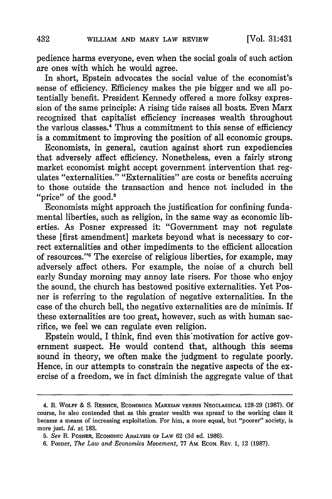pedience harms everyone, even when the social goals of such action are ones with which he would agree.

In short, Epstein advocates the social value of the economist's sense of efficiency. Efficiency makes the pie bigger and we all potentially benefit. President Kennedy offered a more folksy expression of the same principle: A rising tide raises all boats. Even Marx recognized that capitalist efficiency increases wealth throughout the various classes.4 Thus a commitment to this sense of efficiency is a commitment to improving the position of all economic groups.

Economists, in general, caution against short run expediencies that adversely affect efficiency. Nonetheless, even a fairly strong market economist might accept government intervention that regulates "externalities." "Externalities" are costs or benefits accruing to those outside the transaction and hence not included in the "price" of the good.<sup>5</sup>

Economists might approach the justification for confining fundamental liberties, such as religion, in the same way as economic liberties. As Posner expressed it: "Government may not regulate these [first amendment] markets beyond what is necessary to correct externalities and other impediments to the efficient allocation of resources."<sup>6</sup> The exercise of religious liberties, for example, may adversely affect others. For example, the noise of a church bell early Sunday morning may annoy late risers. For those who enjoy the sound, the church has bestowed positive externalities. Yet Posner is referring to the regulation of negative externalities. In the case of the church bell, the negative externalities are de minimis. If these externalities are too great, however, such as with human sacrifice, we feel we can regulate even religion.

Epstein would, I think, find even this'motivation for active government suspect. He would contend that, although this seems sound in theory, we often make the judgment to regulate poorly. Hence, in our attempts to constrain the negative aspects of the exercise of a freedom, we in fact diminish the aggregate value of that

<sup>4.</sup> R. WOLFF **& S.** RESNICK, ECONOMICS: MARXIAN VERSUS **NEOCLASSICAL** 128-29 (1987). Of course, he also contended that as this greater wealth was spread to the working class it became a means of increasing exploitation. For him, a more equal, but "poorer" society, is more just. *Id.* at 183.

*<sup>5.</sup> See* R. POSNER, ECONOMIC **ANALYSIS** OF LAW 62 (3d ed. 1986).

<sup>6.</sup> Posner, *The Law and Economics Movement,* 77 Am. EcoN. REV. 1, 12 (1987).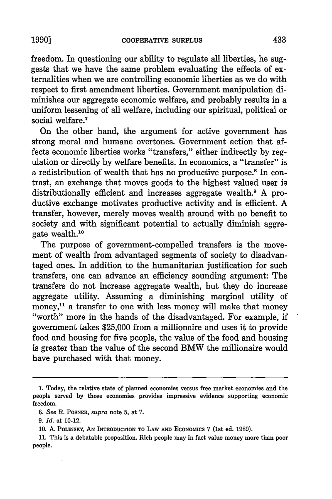freedom. In questioning our ability to regulate all liberties, he suggests that we have the same problem evaluating the effects of externalities when we are controlling economic liberties as we do with respect to first amendment liberties. Government manipulation diminishes our aggregate economic welfare, and probably results in a uniform lessening of all welfare, including our spiritual, political or social welfare.<sup>7</sup>

On the other hand, the argument for active government has strong moral and humane overtones. Government action that affects economic liberties works "transfers," either indirectly by regulation or directly by welfare benefits. In economics, a "transfer" is a redistribution of wealth that has no productive purpose.<sup>8</sup> In contrast, an exchange that moves goods to the highest valued user is distributionally efficient and increases aggregate wealth.<sup>9</sup> A productive exchange motivates productive activity and is efficient. A transfer, however, merely moves wealth around with no benefit to society and with significant potential to actually diminish aggregate wealth.10

The purpose of government-compelled transfers is the movement of wealth from advantaged segments of society to disadvantaged ones. In addition to the humanitarian justification for such transfers, one can advance an efficiency sounding argument: The transfers do not increase aggregate wealth, but they do increase aggregate utility. Assuming a diminishing marginal utility of money,<sup>11</sup> a transfer to one with less money will make that money "worth" more in the hands of the disadvantaged. For example, if government takes \$25,000 from a millionaire and uses it to provide food and housing for five people, the value of the food and housing is greater than the value of the second BMW the millionaire would have purchased with that money.

**<sup>7.</sup>** Today, the relative state of planned economies versus free market economies and the people served by those economies provides impressive evidence supporting economic freedom.

*<sup>8.</sup> See* R. POSNER, *supra* note 5, at 7.

*<sup>9.</sup> Id.* at 10-12.

**<sup>10.</sup> A.** POLINSKY, AN **INTRODUCTION** TO LAW **AND ECONOMIcS** 7 (1st ed. **1989).**

**<sup>11.</sup>** This is a debatable proposition. Rich people may in fact value money more than poor people.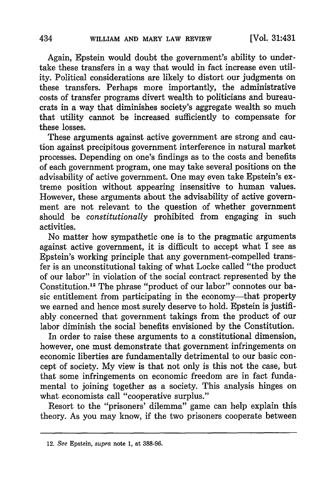Again, Epstein would doubt the government's ability to undertake these transfers in a way that would in fact increase even utility. Political considerations are likely to distort our judgments on these transfers. Perhaps more importantly, the administrative costs of transfer programs divert wealth to politicians and bureaucrats in a way that diminishes society's aggregate wealth so much that utility cannot be increased sufficiently to compensate for these losses.

These arguments against active government are strong and caution against precipitous government interference in natural market processes. Depending on one's findings as to the costs and benefits of each government program, one may take several positions on the advisability of active government. One may even take Epstein's extreme position without appearing insensitive to human values. However, these arguments about the advisability of active government are not relevant to the question of whether government should be *constitutionally* prohibited from engaging in such activities.

No matter how sympathetic one is to the pragmatic arguments against active government, it is difficult to accept what I see as Epstein's working principle that any government-compelled transfer is an unconstitutional taking of what Locke called "the product of our labor" in violation of the social contract represented by the Constitution.<sup>12</sup> The phrase "product of our labor" connotes our basic entitlement from participating in the economy-that property we earned and hence most surely deserve to hold. Epstein is justifiably concerned that government takings from the product of our labor diminish the social benefits envisioned by the Constitution.

In order to raise these arguments to a constitutional dimension, however, one must demonstrate that government infringements on economic liberties are fundamentally detrimental to our basic concept of society. My view is that not only is this not the case, but that some infringements on economic freedom are in fact fundamental to joining together as a society. This analysis hinges on what economists call "cooperative surplus."

Resort to the "prisoners' dilemma" game can help explain this theory. As you may know, if the two prisoners cooperate between

<sup>12.</sup> *See* Epstein, *supra* note **1,** at **388-96.**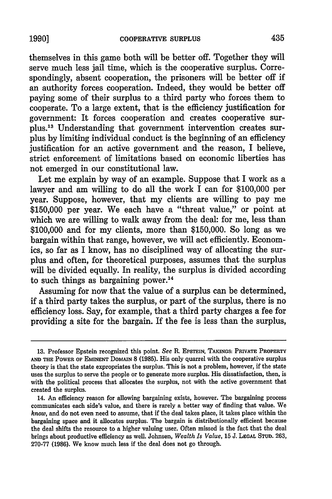themselves in this game both will be better off. Together they will serve much less jail time, which is the cooperative surplus. Correspondingly, absent cooperation, the prisoners will be better off if an authority forces cooperation. Indeed, they would be better off paying some of their surplus to a third party who forces them to cooperate. To a large extent, that is the efficiency justification for government: It forces cooperation and creates cooperative surplus.<sup>13</sup> Understanding that government intervention creates surplus by limiting individual conduct is the beginning of an efficiency justification for an active government and the reason, I believe, strict enforcement of limitations based on economic liberties has not emerged in our constitutional law.

Let me explain by way of an example. Suppose that I work as a lawyer and am willing to do all the work I can for \$100,000 per year. Suppose, however, that my clients are willing to pay me \$150,000 per year. We each have a "threat value," or point at which we are willing to walk away from the deal: for me, less than \$100,000 and for my clients, more than \$150,000. So long as we bargain within that range, however, we will act efficiently. Economics, so far as I know, has no disciplined way of allocating the surplus and often, for theoretical purposes, assumes that the surplus will be divided equally. In reality, the surplus is divided according to such things as bargaining power. $^{14}$ 

Assuming for now that the value of a surplus can be determined, if a third party takes the surplus, or part of the surplus, there is no efficiency loss. Say, for example, that a third party charges a fee for providing a site for the bargain. If the fee is less than the surplus,

**<sup>13.</sup>** Professor Epstein recognized this point. *See* R. EPSTEIN, **TAKINGS: PRIVATE** PROPERTY **AND THE** POWER OF **EMINENT DOMAIN 8** (1985). His only quarrel with the cooperative surplus theory is that the state expropriates the surplus. This is not a problem, however, if the state uses the surplus to serve the people or to generate more surplus. His dissatisfaction, then, is with the political process that allocates the surplus, not with the active government that created the surplus.

<sup>14.</sup> An efficiency reason for allowing bargaining exists, however. The bargaining process communicates each side's value, and there is rarely a better way of finding that value. We *know,* and do not even need to assume, that if the deal takes place, it takes place within the bargaining space and it allocates surplus. The bargain is distributionally efficient because the deal shifts the resource to a higher valuing user. Often missed is the fact that the deal brings about productive efficiency as well. Johnsen, *Wealth Is Value,* **15 J. LEGAL STUD.** 263, 270-77 (1986). We know much less if the deal does not go through.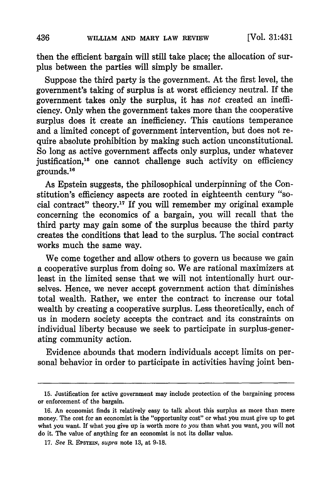then the efficient bargain will still take place; the allocation of surplus between the parties will simply be smaller.

Suppose the third party is the government. At the first level, the government's taking of surplus is at worst efficiency neutral. If the government takes only the surplus, it has *not* created an inefficiency. Only when the government takes more than the cooperative surplus does it create an inefficiency. This cautions temperance and a limited concept of government intervention, but does not require absolute prohibition by making such action unconstitutional. So long as active government affects only surplus, under whatever justification,<sup>15</sup> one cannot challenge such activity on efficiency grounds."6

As Epstein suggests, the philosophical underpinning of the Constitution's efficiency aspects are rooted in eighteenth century "social contract" theory.'1 If you will remember my original example concerning the economics of a bargain, you will recall that the third party may gain some of the surplus because the third party creates the conditions that lead to the surplus. The social contract works much the same way.

We come together and allow others to govern us because we gain a cooperative surplus from doing so. We are rational maximizers at least in the limited sense that we will not intentionally hurt ourselves. Hence, we never accept government action that diminishes total wealth. Rather, we enter the contract to increase our total wealth by creating a cooperative surplus. Less theoretically, each of us in modern society accepts the contract and its constraints on individual liberty because we seek to participate in surplus-generating community action.

Evidence abounds that modern individuals accept limits on personal behavior in order to participate in activities having joint ben-

**<sup>15.</sup>** Justification for active government may include protection of the bargaining process or enforcement of the bargain.

**<sup>16.</sup>** An economist finds it relatively easy to talk about this surplus as more than mere money. The cost for an economist is the "opportunity cost" or what you must give up to get what you want. If what you give up is worth more *to you* than what you want, you will not do it. The value of anything for an economist is not its dollar value.

**<sup>17.</sup>** *See* R. **EPSTEIN,** *supra* note **13,** at **9-18.**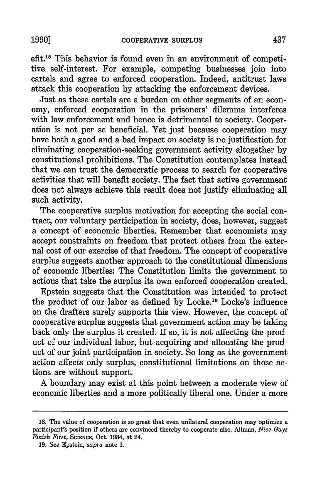**1990]**

efit.18 This behavior is found even in an environment of competitive self-interest. For example, competing businesses join into cartels and agree to enforced cooperation. Indeed, antitrust laws attack this cooperation by attacking the enforcement devices.

Just as these cartels are a burden on other segments of an economy, enforced cooperation in the prisoners' dilemma interferes with law enforcement and hence is detrimental to society. Cooperation is not per se beneficial. Yet just because cooperation may have both a good and a bad impact on society is no justification for eliminating cooperation-seeking government activity altogether by constitutional prohibitions. The Constitution contemplates instead that we can trust the democratic process to search for cooperative activities that will benefit society. The fact that active government does not always achieve this result does not justify eliminating all such activity.

The cooperative surplus motivation for accepting the social contract, our voluntary participation in society, does, however, suggest a concept of economic liberties. Remember that economists may accept constraints on freedom that protect others from the external cost of our exercise of that freedom. The concept of cooperative surplus suggests another approach to the constitutional dimensions of economic liberties: The Constitution limits the government to actions that take the surplus its own enforced cooperation created.

Epstein suggests that the Constitution was intended to protect the product of our labor as defined by Locke.<sup>19</sup> Locke's influence on the drafters surely supports this view. However, the concept of cooperative surplus suggests that government action may be taking back only the surplus it created. If so, it is not affecting the product of our individual labor, but-acquiring and allocating the product of our joint participation in society. So long as the government action affects only surplus, constitutional limitations on those actions are without support.

A boundary may exist at this point between a moderate view of economic liberties and a more politically liberal one. Under a more

<sup>18.</sup> The value of cooperation is so great that even unilateral cooperation may optimize a participant's position if others are convinced thereby to cooperate also. Allman, *Nice Guys Finish First, SCIENCE, Oct. 1984, at 24.* 

<sup>19.</sup> *See* Epstein, *supra* note 1.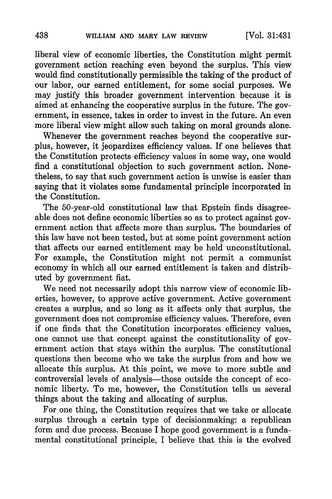liberal view of economic liberties, the Constitution might permit government action reaching even beyond the surplus. This view would find constitutionally permissible the taking of the product of our labor, our earned entitlement, for some social purposes. We may justify this broader government intervention because it is aimed at enhancing the cooperative surplus in the future. The government, in essence, takes in order to invest in the future. An even more liberal view might allow such taking on moral grounds alone.

Whenever the government reaches beyond the cooperative surplus, however, it jeopardizes efficiency values. If one believes that the Constitution protects efficiency values in some way, one would find a constitutional objection to such government action. Nonetheless, to say that such government action is unwise is easier than saying that it violates some fundamental principle incorporated in the Constitution.

The 50-year-old constitutional law that Epstein finds disagreeable does not define economic liberties so as to protect against government action that affects more than surplus. The boundaries of this law have not been tested, but at some point government action that affects our earned entitlement may be held unconstitutional. For example, the Constitution might not permit a communist economy in which all our earned entitlement is taken and distributed by government fiat.

We need not necessarily adopt this narrow view of economic liberties, however, to approve active government. Active government creates a surplus, and so long as it affects only that surplus, the government does not compromise efficiency values. Therefore, even if one finds that the Constitution incorporates efficiency values, one cannot use that concept against the constitutionality of government action that stays within the surplus. The constitutional questions then become who we take the surplus from and how we allocate this surplus. At this point, we move to more subtle and controversial levels of analysis—those outside the concept of economic liberty. To me, however, the Constitution tells us several things about the taking and allocating of surplus.

For one thing, the Constitution requires that we take or allocate surplus through a certain type of decisionmaking: a republican form and due process. Because I hope good government is a fundamental constitutional principle, I believe that this is the evolved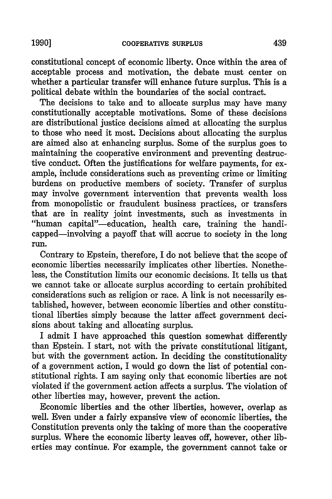constitutional concept of economic liberty. Once within the area of acceptable process and motivation, the debate must center on whether a particular transfer will enhance future surplus. This is a political debate within the boundaries of the social contract.

The decisions to take and to allocate surplus may have many constitutionally acceptable motivations. Some of these decisions are distributional justice decisions aimed at allocating the surplus to those who need it most. Decisions about allocating the surplus are aimed also at enhancing surplus. Some of the surplus goes to maintaining the cooperative environment and preventing destructive conduct. Often the justifications for welfare payments, for example, include considerations such as preventing crime or limiting burdens on productive members of society. Transfer of surplus may involve government intervention that prevents wealth loss from monopolistic or fraudulent business practices, or transfers that are in reality joint investments, such as investments in "human capital"-education, health care, training the handicapped-involving a payoff that will accrue to society in the long run.

Contrary to Epstein, therefore, I do not believe that the scope of economic liberties necessarily implicates other liberties. Nonetheless, the Constitution limits our economic decisions. It tells us that we cannot take or allocate surplus according to certain prohibited considerations such as religion or race. A link is not necessarily established, however, between economic liberties and other constitutional liberties simply because the latter affect government decisions about taking and allocating surplus.

I admit I have approached this question somewhat differently than Epstein. I start, not with the private constitutional litigant, but with the government action. In deciding the constitutionality of a government action, I would go down the list of potential constitutional rights. I am saying only that economic liberties are not violated if the government action affects a surplus. The violation of other liberties may, however, prevent the action.

Economic liberties and the other liberties, however, overlap as well. Even under a fairly expansive view of economic liberties, the Constitution prevents only the taking of more than the cooperative surplus. Where the economic liberty leaves off, however, other liberties may continue. For example, the government cannot take or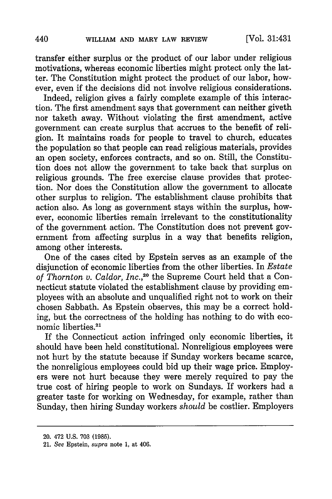transfer either surplus or the product of our labor under religious motivations, whereas economic liberties might protect only the latter. The Constitution might protect the product of our labor, however, even if the decisions did not involve religious considerations.

Indeed, religion gives a fairly complete example of this interaction. The first amendment says that government can neither giveth nor taketh away. Without violating the first amendment, active government can create surplus that accrues to the benefit of religion. It maintains roads for people to travel to church, educates the population so that people can read religious materials, provides an open society, enforces contracts, and so on. Still, the Constitution does not allow the government to take back that surplus on religious grounds. The free exercise clause provides that protection. Nor does the Constitution allow the government to allocate other surplus to religion. The establishment clause prohibits that action also. As long as government stays within the surplus, however, economic liberties remain irrelevant to the constitutionality of the government action. The Constitution does not prevent government from affecting surplus in a way that benefits religion, among other interests.

One of the cases cited by Epstein serves as an example of the disjunction of economic liberties from the other liberties. In *Estate of Thornton v. Caldor, Inc.,'20* the Supreme Court held that a Connecticut statute violated the establishment clause by providing employees with an absolute and unqualified right not to work on their chosen Sabbath. As Epstein observes, this may be a correct holding, but the correctness of the holding has nothing to do with economic liberties.<sup>21</sup>

If the Connecticut action infringed only economic liberties, it should have been held constitutional. Nonreligious employees were not hurt by the statute because if Sunday workers became scarce, the nonreligious employees could bid up their wage price. Employers were not hurt because they were merely required to pay the true cost of hiring people to work on Sundays. If workers had a greater taste for working on Wednesday, for example, rather than Sunday, then hiring Sunday workers *should* be costlier. Employers

<sup>20. 472</sup> **U.S. 703 (1985).**

<sup>21.</sup> *See* Epstein, *supra* note 1, at 406.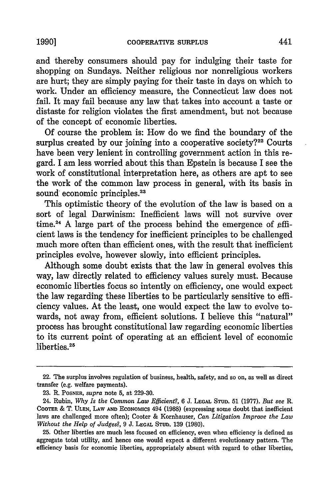and thereby consumers should pay for indulging their taste for shopping on Sundays. Neither religious nor nonreligious workers are hurt; they are simply paying for their taste in days on which to work. Under an efficiency measure, the Connecticut law does not fail. It may fail because any law that takes into account a taste or distaste for religion violates the first amendment, but not because of the concept of economic liberties.

Of course the problem is: How do we find the boundary of the surplus created by our joining into a cooperative society? $22$  Courts have been very lenient in controlling government action in this regard. I am less worried about this than Epstein is because I see the work of constitutional interpretation here, as others are apt to see the work of the common law process in general, with its basis in sound economic principles.<sup>23</sup>

This optimistic theory of the evolution of the law is based on a sort of legal Darwinism: Inefficient laws will not survive over time.<sup>24</sup> A large part of the process behind the emergence of  $\text{eff}$ cient laws is the tendency for inefficient principles to be challenged much more often than efficient ones, with the result that inefficient principles evolve, however slowly, into efficient principles.

Although some doubt exists that the law in general evolves this way, law directly related to efficiency values surely must. Because economic liberties focus so intently on efficiency, one would expect the law regarding these liberties to be particularly sensitive to efficiency values. At the least, one would expect the law to evolve towards, not away from, efficient solutions. I believe this "natural" process has brought constitutional law regarding economic liberties to its current point of operating at an efficient level of economic liberties.<sup>25</sup>

<sup>22.</sup> The surplus involves regulation of business, health, safety, and so on, as well as direct transfer (e.g. welfare payments).

<sup>23.</sup> R. POSNER, *supra* note 5, at 229-30.

<sup>24.</sup> Rubin, *Why Is the Common Law Efficient?, 6* J. LEGAL STUD. 51 (1977). *But see* R. COOMR & T. **ULEN,** LAW **AND** EcoNomics 494 (1988) (expressing some doubt that inefficient laws are challenged more often); Cooter & Kornhauser, *Can Litigation Improve the Law Without the Help of Judges?,* 9 J. **LEGAL STUD.** 139 (1980).

<sup>25.</sup> Other liberties are much less focused on efficiency, even when efficiency is defined as aggregate total utility, and hence one would expect a different evolutionary pattern. The efficiency basis for economic liberties, appropriately absent with regard to other liberties,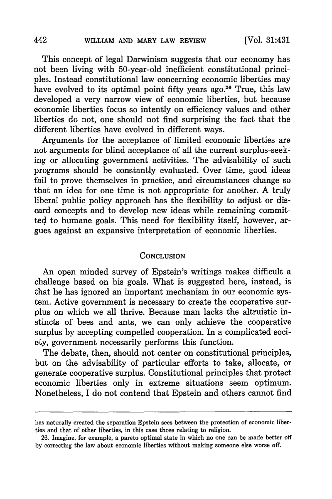This concept of legal Darwinism suggests that our economy has not been living with 50-year-old inefficient constitutional principles. Instead constitutional law concerning economic liberties may have evolved to its optimal point fifty years ago.<sup>26</sup> True, this law developed a very narrow view of economic liberties, but because economic liberties focus so intently on efficiency values and other liberties do not, one should not find surprising the fact that the different liberties have evolved in different ways.

Arguments for the acceptance of limited economic liberties are not arguments for blind acceptance of all the current surplus-seeking or allocating government activities. The advisability of such programs should be constantly evaluated. Over time, good ideas fail to prove themselves in practice, and circumstances change so that an idea for one time is not appropriate for another. A truly liberal public policy approach has the flexibility to adjust or discard concepts and to develop new ideas while remaining committed to humane goals. This need for flexibility itself, however, argues against an expansive interpretation of economic liberties.

#### **CONCLUSION**

An open minded survey of Epstein's writings makes difficult a challenge based on his goals. What is suggested here, instead, is that he has ignored an important mechanism in our economic system. Active government is necessary to create the cooperative surplus on which we all thrive. Because man lacks the altruistic instincts of bees and ants, we can only achieve the cooperative surplus by accepting compelled cooperation. In a complicated society, government necessarily performs this function.

The debate, then, should not center on constitutional principles, but on the advisability of particular efforts to take, allocate, or generate cooperative surplus. Constitutional principles that protect economic liberties only in extreme situations seem optimum. Nonetheless, I do not contend that Epstein and others cannot find

442

has naturally created the separation Epstein sees between the protection of economic liberties and that of other liberties, in this case those relating to religion.

<sup>26.</sup> Imagine, for example, a pareto optimal state in which no one can be made better off by correcting the law about economic liberties without making someone else worse off.